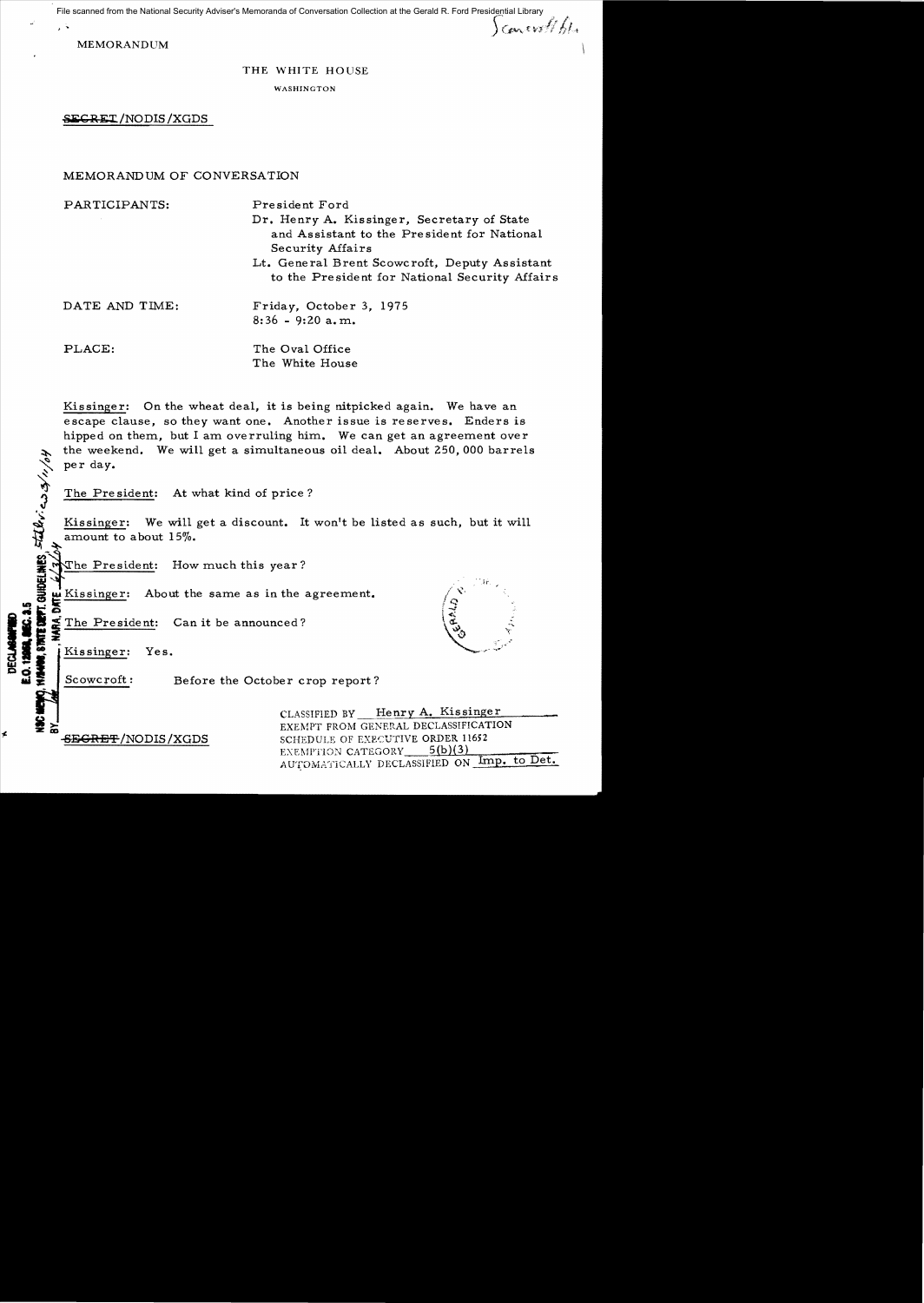File scanned from the National Security Adviser's Memoranda of Conversation Collection at the Gerald R. Ford Presidential Library

**MEMORANDUM** 

Concret to his

#### THE WHITE HOUSE

WASHINGTON

**SEGRET/NODIS/XGDS** 

# MEMORANDUM OF CONVERSATION

| PARTICIPANTS:  | President Ford<br>Dr. Henry A. Kissinger, Secretary of State<br>and Assistant to the President for National<br>Security Affairs<br>Lt. General Brent Scowcroft, Deputy Assistant |
|----------------|----------------------------------------------------------------------------------------------------------------------------------------------------------------------------------|
|                | to the President for National Security Affairs                                                                                                                                   |
| DATE AND TIME: | Friday, October 3, 1975<br>$8:36 - 9:20$ a.m.                                                                                                                                    |
| PLACE:         | The Oval Office<br>The White House                                                                                                                                               |

Kissinger: On the wheat deal, it is being nitpicked again. We have an escape clause, so they want one. Another issue is reserves. Enders is hipped on them, but I am overruling him. We can get an agreement over the weekend. We will get a simultaneous oil deal. About 250,000 barrels per day.

The President: At what kind of price?

Kissinger: We will get a discount. It won't be listed as such, but it will amount to about 15%.

The President: How much this year?

**COUDELINES, STATE: COD 3/11/04** Kissinger: About the same as in the agreement.

The President: Can it be announced?



Kissinger: Yes.

Scowcroft:

**LEGT** 

Before the October crop report?

CLASSIFIED BY Henry A. Kissinger EXEMPT FROM GENERAL DECLASSIFICATION SCHEDULE OF EXECUTIVE ORDER 11652  $5(b)(3)$ EXEMPTION CATEGORY AUTOMATICALLY DECLASSIFIED ON Imp. to Det.

<del>SEGRET</del>/NODIS/XGDS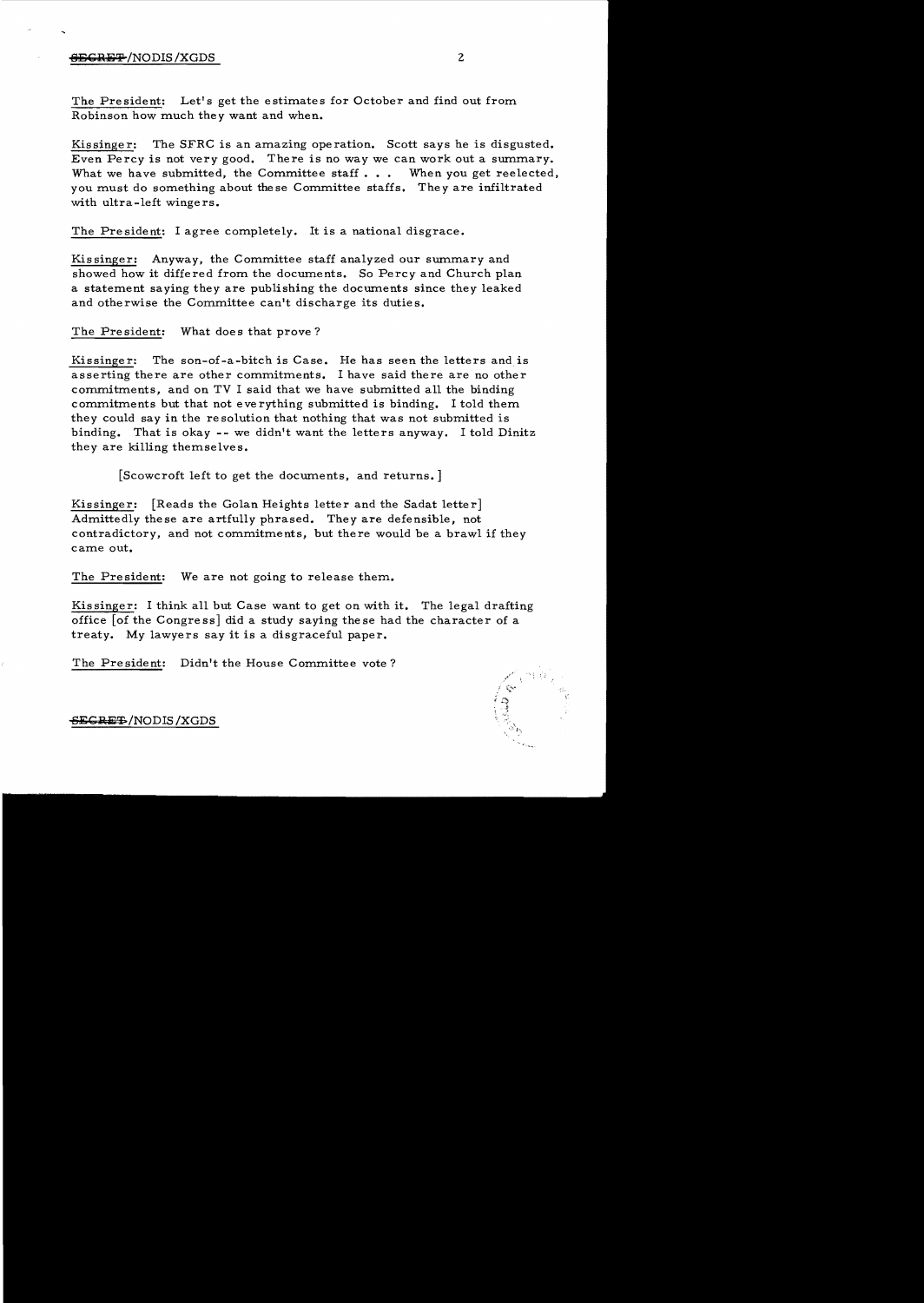### $\frac{4FGRF F}{NODIS}$  /NODIS /XGDS 2

The President: Let's get the estimates for October and find out from Robinson how much they want and when.

Kissinger: The SFRC is an amazing operation. Scott says he is disgusted. Even Percy is not very good. There is no way we can work out a summary. What we have submitted, the Committee staff... When you get reelected, you must do something about these Committee staffs. They are infiltrated with ultra-left wingers.

The President: I agree completely. It is a national disgrace.

Kissinger: Anyway, the Committee staff analyzed our summary and showed how it differed from the documents. So Percy and Church plan a statement saying they are publishing the documents since they leaked and otherwise the Committee can't discharge its duties.

The President: What does that prove?

Kissinge r: The son-of-a-bitch is Case. He has seen the letters and is asserting there are other commitments. I have said there are no other commitments, and on TV I said that we have submitted all the binding commitments but that not everything submitted is binding. I told them. they could say in the resolution that nothing that was not submitted is binding. That is okay - - we didn't want the letters anyway. I told Dinitz they are killing themselves.

[Scowcroft left to get the documents, and returns. ]

Kissinger: [Reads the Golan Heights letter and the Sadat letter] Admittedly these are artfully phrased. They are defensible, not contradictory, and not commitments, but there would be a brawl if they came out.

The President: We are not going to release them.

Kis singer: I think all but Case want to get on with it. The legal drafting office [of the Congress] did a study saying these had the character of a treaty. My lawyers say it is a disgraceful paper.

The President: Didn't the House Committee vote?



-S~CRa:T-/NODIS /XGDS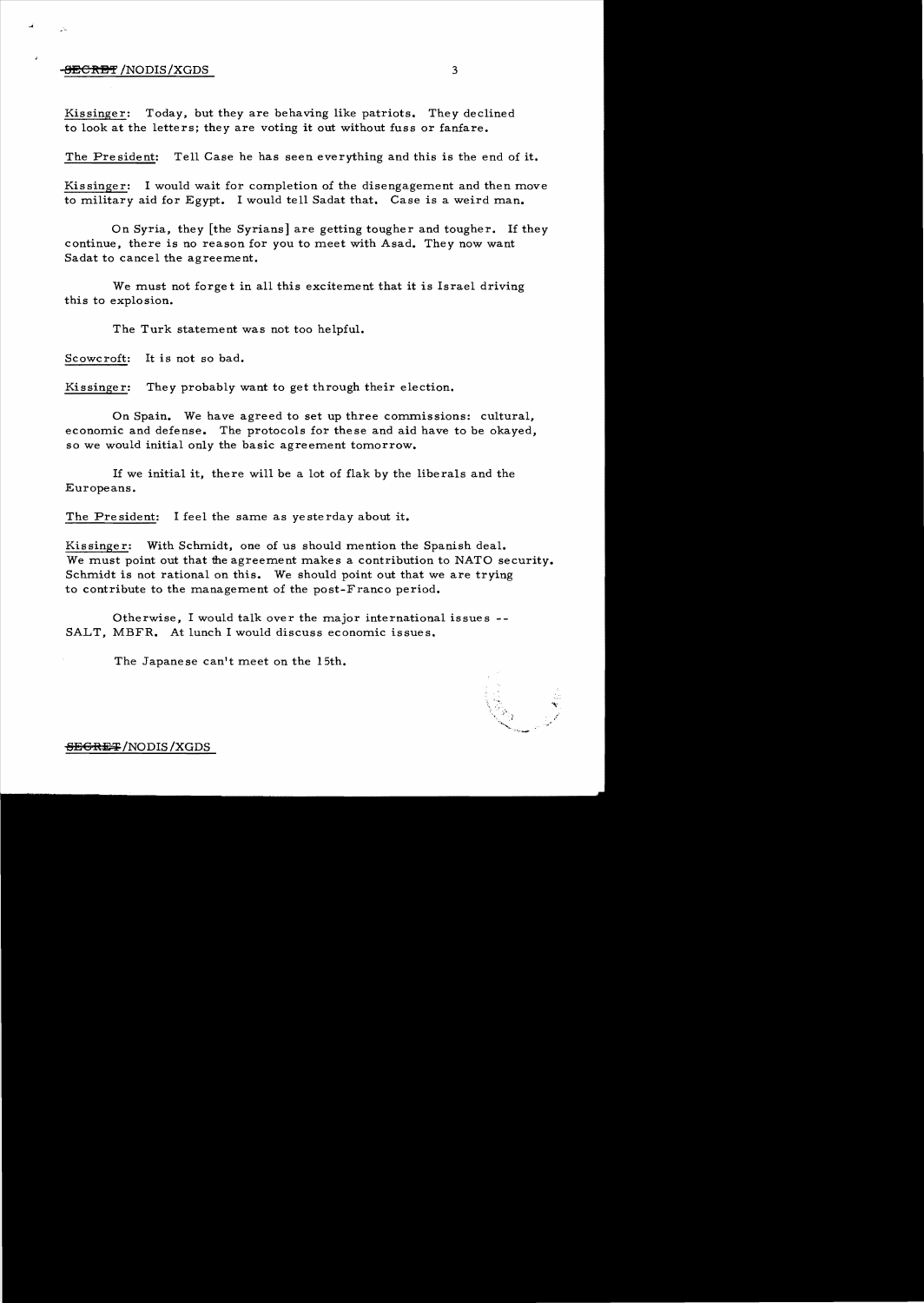## **-<del>BECRET</del> /NODIS/XGDS 3**

Kissinger: Today, but they are behaving like patriots. They declined to look at the letters; they are voting it out without fuss or fanfare.

The President: Tell Case he has seen everything and this is the end of it.

Kissinger: I would wait for completion of the disengagement and then move to military aid for Egypt. I would tell Sadat that. Case is a weird man.

On Syria, they [the Syrians] are getting tougher and tougher. If they continue, there is no reason for you to meet with Asad. They now want Sadat to cancel the agreement.

We must not forget in all this excitement that it is Israel driving this to explosion.

The Turk statement was not too helpful.

Scowcroft: It is not so bad.

Kissinger: They probably want to get through their election.

On Spain. We have agreed to set up three commissions: cultural, economic and defense. The protocols for these and aid have to be okayed, so we would initial only the basic agreement tomorrow.

1£ we initial it, there will be a lot of flak by the liberals and the Europeans.

The President: I feel the same as yesterday about it.

Kissinger: With Schmidt, one of us should mention the Spanish deal. We must point out that the agreement makes a contribution to NATO security. Schmidt is not rational on this. We should point out that we are trying to contribute to the management of the post-Franco period.

Otherwise, I would talk over the major international issues SALT, MBFR. At lunch I would discuss economic issues.

The Japanese can't meet on the 15th.



### SEGRET/NODIS/XGDS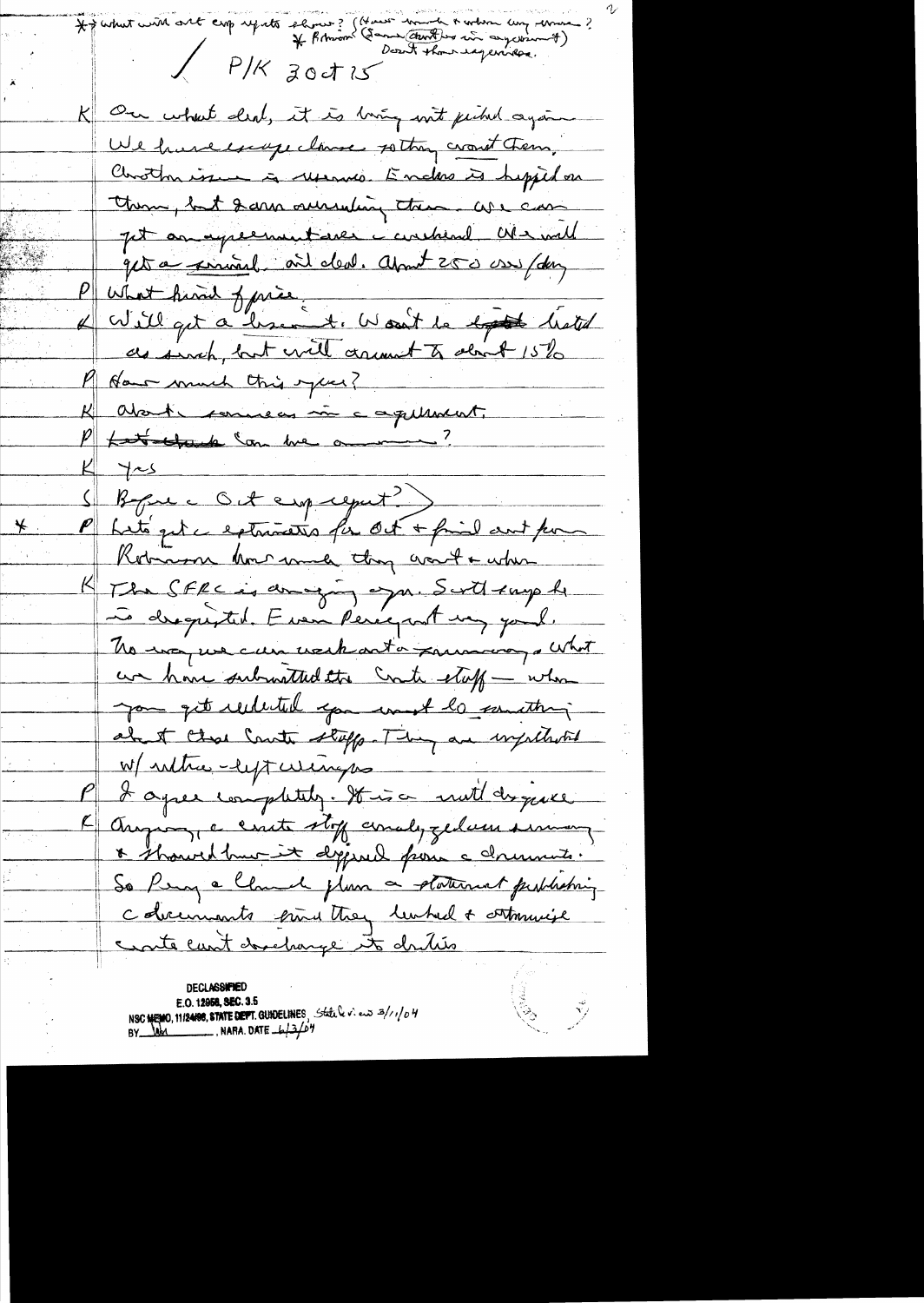For what will ont emp reports shows? (How was the to where any three ?  $X$  P/K zodis K On what deal, it is buing with pechal again We have excupe clause sotton crowt them, Chrotherise à Merrino. Endre à hypidar them, but 2 cars ourseling them are can jet an experimentare constant We will quite a permet ail deal. April 250 assistant P what him of price.<br>L'av sil qut a lessement : Woon't de ligt de listed M How much this year? K about commens in a aquiment. P <del>partelande Com me ammer?</del>  $K \rightarrow S$ Before c Oct employent?) P Let's get a externation for Oct + find and for Kobian how much though want + when The SFRC is amoging or a. Sorth surph Le drequisted. Even Peregant un paul. No way we can use harta primary a what an home submitted the Cost staff - when you get reducted you won't be positive about these Counts stuffs. They are impulled W/ ruther-left wings I agree completely. It is a mult disquee August, a crute stoff conalyzedam summer  $\overline{\mathcal{L}}$   $\parallel$ \* showed hur it dessuel pour celements. So Perry a Claude plan a platernat probleming colocuments pine they lumbed + orthquise cante cunt developpe to drities

**DECLASSIFIE** E.O. 12958, SEC. 3.5<br>NSC MEMO, 11/24/98, STATE DEPT. GUIDELINES, Stative view 3/1/04<br>BY Ref. 12.001

 $\begin{matrix} \tilde{\mathbb{S}} & \tilde{\mathbb{S}} \end{matrix}$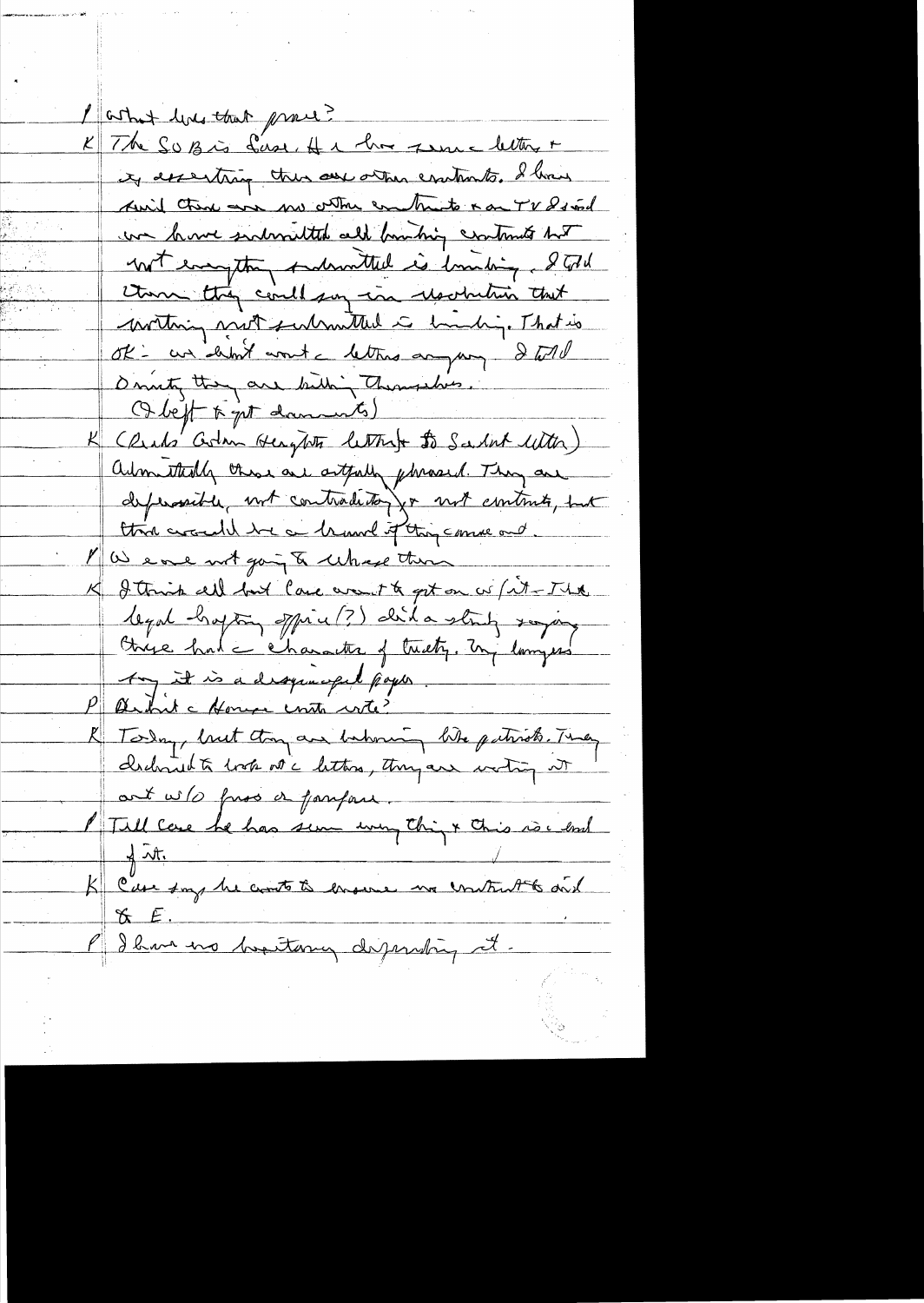partner hold that prove? K The SUB is first, H & har zum a letter + ity descripting there are orther contents. I have Auid there are my other combato a on TV 8s and we have sudmitted all bunking contracts but not enageting indimitted is limiting. I told them they could pay in resolution that writing not submitted is bunching That is ok - an debut wont a letters anyway & will Dinnty they are bitting Themselves. Obeft to get daments) K CRub' Colan Hengtots letterst to Sadat With) admittedly those are artfully phrased. They are defensait le mot contraditor par mot contrats, put think around the a brund of thing comme and. MW eve not going to whose then K I think all but lace won't to get on w (it-The legal hapting office (?) did a string saying Chyse had c character of treaty. In langues Any it is a dropomopol poper. P article House contra vite? K Today, but they are bakoning like patriots. They chebraid à trop note lettres, thought worting it art w/s fuss a faufau. / Till case he has sem unig things this is easy  $K$   $E$ . P I have no bestame dispersing it.